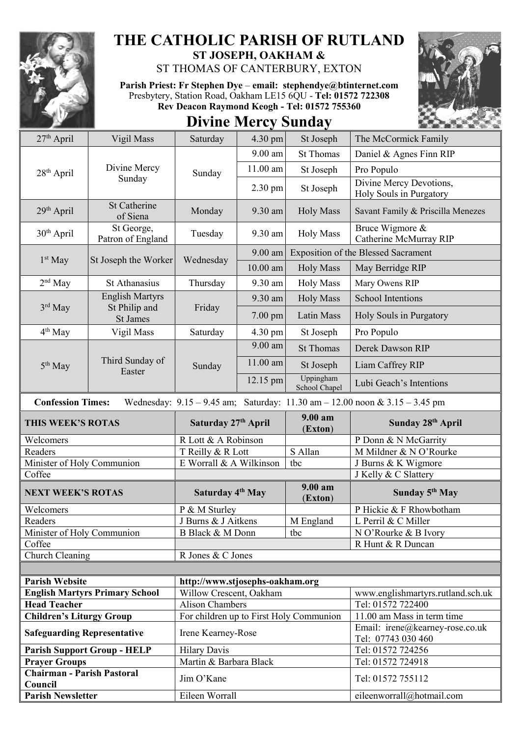

## **THE CATHOLIC PARISH OF RUTLAND ST JOSEPH, OAKHAM &**

ST THOMAS OF CANTERBURY, EXTON

**Parish Priest: Fr Stephen Dye** – **[email: stephendye@btinternet.com](mailto:email:%20%20stephendye@btinternet.com)** Presbytery, Station Road, Oakham LE15 6QU - **Tel: 01572 722308 Rev Deacon Raymond Keogh - Tel: 01572 755360**



|  | <b>Divine Mercy Sunday</b> |
|--|----------------------------|
|  |                            |

| 27 <sup>th</sup> April                                                                                          | Vigil Mass                                    | Saturday                                                      | 4.30 pm    | St Joseph                                  | The McCormick Family                                   |  |
|-----------------------------------------------------------------------------------------------------------------|-----------------------------------------------|---------------------------------------------------------------|------------|--------------------------------------------|--------------------------------------------------------|--|
| $28th$ April                                                                                                    | Divine Mercy                                  | Sunday                                                        | 9.00 am    | <b>St Thomas</b>                           | Daniel & Agnes Finn RIP                                |  |
|                                                                                                                 |                                               |                                                               | $11.00$ am | St Joseph                                  | Pro Populo                                             |  |
| Sunday                                                                                                          |                                               |                                                               | 2.30 pm    | St Joseph                                  | Divine Mercy Devotions,<br>Holy Souls in Purgatory     |  |
| 29th April                                                                                                      | <b>St Catherine</b><br>of Siena               | Monday                                                        | 9.30 am    | <b>Holy Mass</b>                           | Savant Family & Priscilla Menezes                      |  |
| 30 <sup>th</sup> April                                                                                          | St George,<br>Patron of England               | Tuesday                                                       | 9.30 am    | <b>Holy Mass</b>                           | Bruce Wigmore &<br>Catherine McMurray RIP              |  |
| $1st$ May                                                                                                       | St Joseph the Worker                          | Wednesday                                                     | $9.00$ am  | <b>Exposition of the Blessed Sacrament</b> |                                                        |  |
|                                                                                                                 |                                               |                                                               | $10.00$ am | <b>Holy Mass</b>                           | May Berridge RIP                                       |  |
| $2nd$ May                                                                                                       | St Athanasius                                 | Thursday                                                      | 9.30 am    | <b>Holy Mass</b>                           | Mary Owens RIP                                         |  |
|                                                                                                                 | <b>English Martyrs</b>                        | Friday                                                        | 9.30 am    | <b>Holy Mass</b>                           | <b>School Intentions</b>                               |  |
|                                                                                                                 | $3rd$ May<br>St Philip and<br><b>St James</b> |                                                               | 7.00 pm    | Latin Mass                                 | Holy Souls in Purgatory                                |  |
| $4th$ May                                                                                                       | Vigil Mass                                    | Saturday                                                      | 4.30 pm    | St Joseph                                  | Pro Populo                                             |  |
|                                                                                                                 |                                               | Sunday                                                        | $9.00$ am  | <b>St Thomas</b>                           | Derek Dawson RIP                                       |  |
| 5 <sup>th</sup> May                                                                                             | Third Sunday of<br>Easter                     |                                                               | 11.00 am   | St Joseph                                  | Liam Caffrey RIP                                       |  |
|                                                                                                                 |                                               |                                                               | 12.15 pm   | Uppingham<br>School Chapel                 | Lubi Geach's Intentions                                |  |
| Wednesday: $9.15 - 9.45$ am; Saturday: $11.30$ am $- 12.00$ noon & $3.15 - 3.45$ pm<br><b>Confession Times:</b> |                                               |                                                               |            |                                            |                                                        |  |
|                                                                                                                 |                                               |                                                               |            |                                            |                                                        |  |
| THIS WEEK'S ROTAS                                                                                               |                                               | Saturday 27th April                                           |            | 9.00 am<br>(Exton)                         | Sunday 28th April                                      |  |
| Welcomers                                                                                                       |                                               | R Lott & A Robinson                                           |            |                                            | P Donn & N McGarrity                                   |  |
| Readers                                                                                                         |                                               | T Reilly & R Lott                                             |            | S Allan                                    | M Mildner & N O'Rourke                                 |  |
| Minister of Holy Communion                                                                                      |                                               | E Worrall & A Wilkinson                                       |            | tbc                                        | J Burns & K Wigmore                                    |  |
| Coffee                                                                                                          |                                               |                                                               |            |                                            | J Kelly & C Slattery                                   |  |
| <b>NEXT WEEK'S ROTAS</b>                                                                                        |                                               | Saturday 4 <sup>th</sup> May                                  |            | 9.00 am                                    | Sunday 5 <sup>th</sup> May                             |  |
| Welcomers                                                                                                       |                                               | P & M Sturley                                                 |            | (Exton)                                    | P Hickie & F Rhowbotham                                |  |
| Readers                                                                                                         |                                               | J Burns & J Aitkens                                           |            | M England                                  | L Perril & C Miller                                    |  |
| Minister of Holy Communion                                                                                      |                                               | B Black & M Donn                                              |            | tbc                                        | N O'Rourke & B Ivory                                   |  |
| Coffee                                                                                                          |                                               |                                                               |            |                                            | R Hunt & R Duncan                                      |  |
| Church Cleaning                                                                                                 |                                               | R Jones & C Jones                                             |            |                                            |                                                        |  |
|                                                                                                                 |                                               |                                                               |            |                                            |                                                        |  |
| <b>Parish Website</b>                                                                                           |                                               |                                                               |            |                                            |                                                        |  |
|                                                                                                                 |                                               | http://www.stjosephs-oakham.org                               |            |                                            |                                                        |  |
| <b>Head Teacher</b>                                                                                             | <b>English Martyrs Primary School</b>         | Willow Crescent, Oakham<br><b>Alison Chambers</b>             |            |                                            | www.englishmartyrs.rutland.sch.uk<br>Tel: 01572 722400 |  |
|                                                                                                                 |                                               |                                                               |            |                                            | 11.00 am Mass in term time                             |  |
| <b>Children's Liturgy Group</b><br><b>Safeguarding Representative</b>                                           |                                               | For children up to First Holy Communion<br>Irene Kearney-Rose |            |                                            | Email: irene@kearney-rose.co.uk                        |  |
|                                                                                                                 |                                               |                                                               |            |                                            | Tel: 07743 030 460                                     |  |
|                                                                                                                 | <b>Parish Support Group - HELP</b>            | <b>Hilary Davis</b><br>Martin & Barbara Black                 |            |                                            | Tel: 01572 724256                                      |  |
| <b>Prayer Groups</b><br><b>Chairman - Parish Pastoral</b><br>Council                                            |                                               | Jim O'Kane                                                    |            |                                            | Tel: 01572 724918<br>Tel: 01572 755112                 |  |